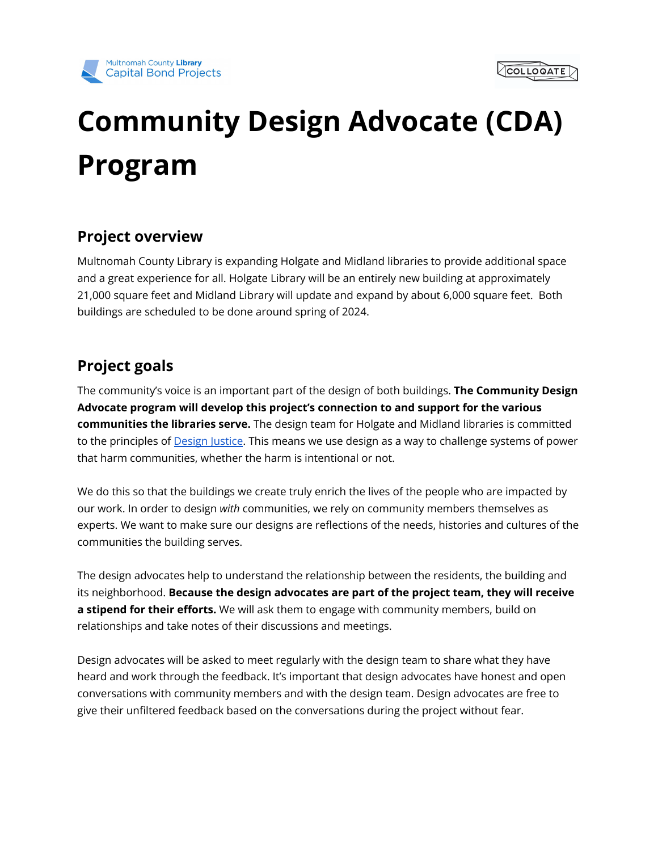



# **Community Design Advocate (CDA) Program**

## **Project overview**

Multnomah County Library is expanding Holgate and Midland libraries to provide additional space and a great experience for all. Holgate Library will be an entirely new building at approximately 21,000 square feet and Midland Library will update and expand by about 6,000 square feet. Both buildings are scheduled to be done around spring of 2024.

## **Project goals**

The community's voice is an important part of the design of both buildings. **The Community Design Advocate program will develop this project's connection to and support for the various communities the libraries serve.** The design team for Holgate and Midland libraries is committed to the principles of [Design](https://designjustice.org/read-the-principles) Justice. This means we use design as a way to challenge systems of power that harm communities, whether the harm is intentional or not.

We do this so that the buildings we create truly enrich the lives of the people who are impacted by our work. In order to design *with* communities, we rely on community members themselves as experts. We want to make sure our designs are reflections of the needs, histories and cultures of the communities the building serves.

The design advocates help to understand the relationship between the residents, the building and its neighborhood. **Because the design advocates are part of the project team, they will receive a stipend for their efforts.** We will ask them to engage with community members, build on relationships and take notes of their discussions and meetings.

Design advocates will be asked to meet regularly with the design team to share what they have heard and work through the feedback. It's important that design advocates have honest and open conversations with community members and with the design team. Design advocates are free to give their unfiltered feedback based on the conversations during the project without fear.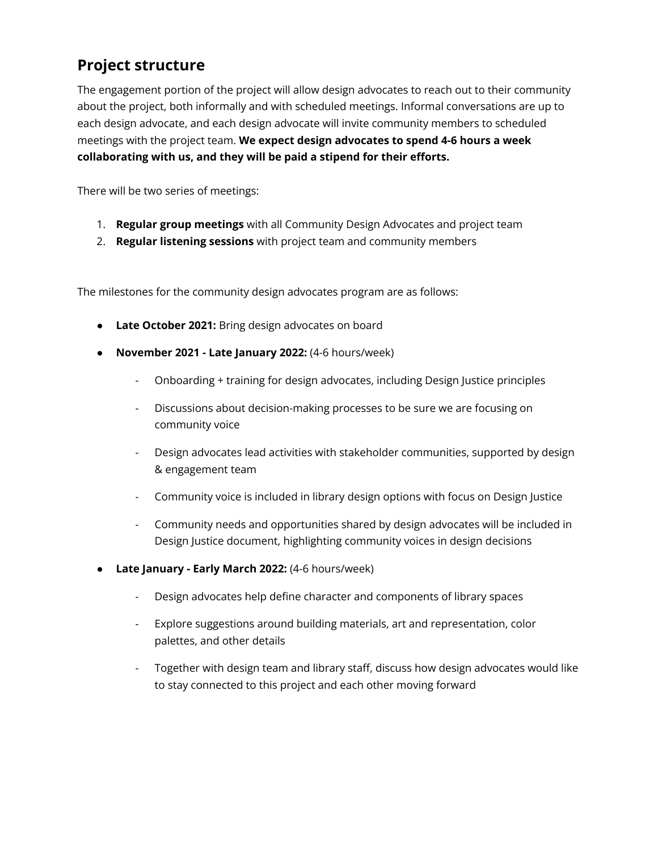## **Project structure**

The engagement portion of the project will allow design advocates to reach out to their community about the project, both informally and with scheduled meetings. Informal conversations are up to each design advocate, and each design advocate will invite community members to scheduled meetings with the project team. **We expect design advocates to spend 4-6 hours a week collaborating with us, and they will be paid a stipend for their efforts.**

There will be two series of meetings:

- 1. **Regular group meetings** with all Community Design Advocates and project team
- 2. **Regular listening sessions** with project team and community members

The milestones for the community design advocates program are as follows:

- **Late October 2021:** Bring design advocates on board
- **November 2021 - Late January 2022:** (4-6 hours/week)
	- Onboarding + training for design advocates, including Design Justice principles
	- Discussions about decision-making processes to be sure we are focusing on community voice
	- Design advocates lead activities with stakeholder communities, supported by design & engagement team
	- Community voice is included in library design options with focus on Design Justice
	- Community needs and opportunities shared by design advocates will be included in Design Justice document, highlighting community voices in design decisions
- **Late January - Early March 2022:** (4-6 hours/week)
	- Design advocates help define character and components of library spaces
	- Explore suggestions around building materials, art and representation, color palettes, and other details
	- Together with design team and library staff, discuss how design advocates would like to stay connected to this project and each other moving forward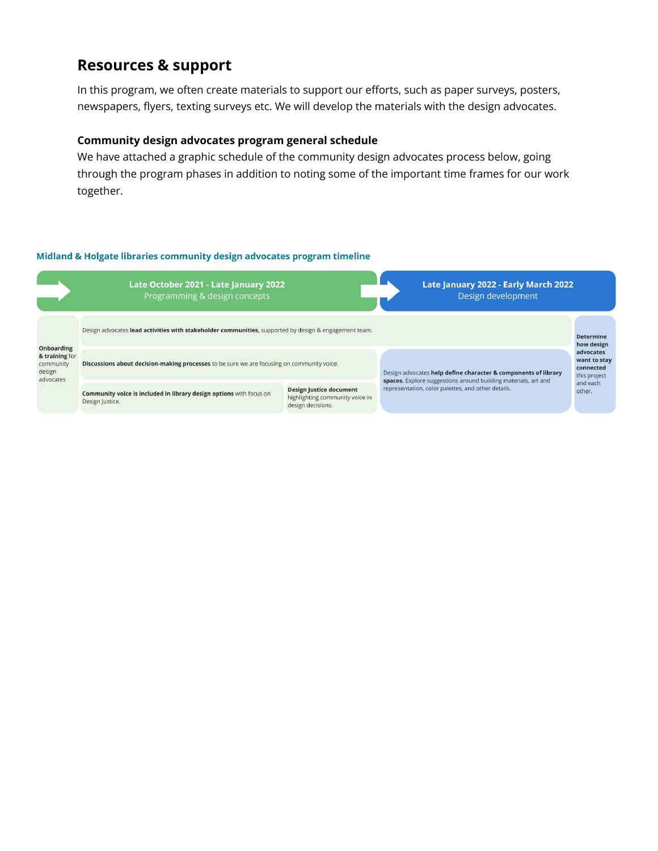## **Resources & support**

In this program, we often create materials to support our efforts, such as paper surveys, posters, newspapers, flyers, texting surveys etc. We will develop the materials with the design advocates.

#### **Community design advocates program general schedule**

We have attached a graphic schedule of the community design advocates process below, going through the program phases in addition to noting some of the important time frames for our work together.

#### Midland & Holgate libraries community design advocates program timeline